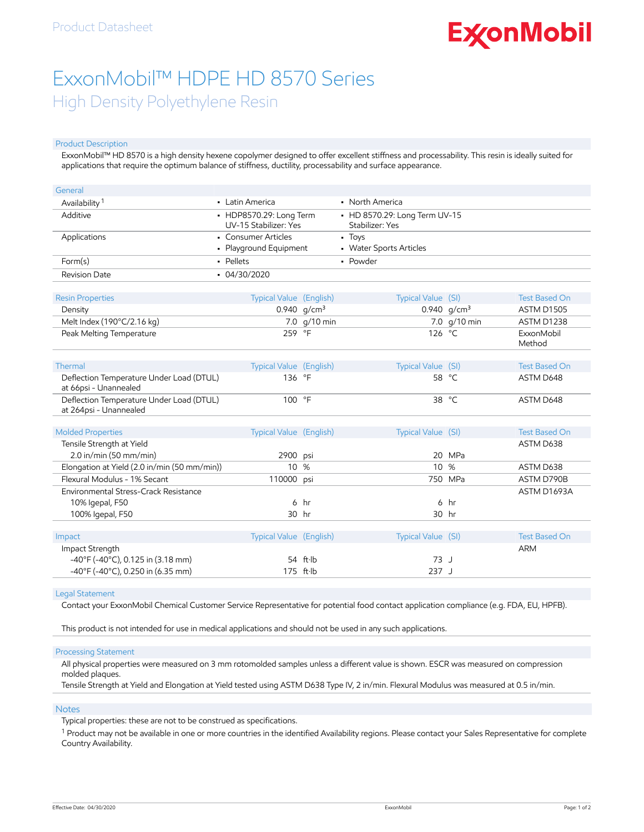# **ExconMobil**

## ExxonMobil™ HDPE HD 8570 Series High Density Polyethylene Resin

#### Product Description

ExxonMobil™ HD 8570 is a high density hexene copolymer designed to offer excellent stiffness and processability. This resin is ideally suited for applications that require the optimum balance of stiffness, ductility, processability and surface appearance.

| General                                                            |                                                  |                     |                                                  |                |                      |
|--------------------------------------------------------------------|--------------------------------------------------|---------------------|--------------------------------------------------|----------------|----------------------|
| Availability <sup>1</sup>                                          | • Latin America                                  |                     | • North America                                  |                |                      |
| Additive                                                           | • HDP8570.29: Long Term<br>UV-15 Stabilizer: Yes |                     | • HD 8570.29: Long Term UV-15<br>Stabilizer: Yes |                |                      |
| Applications                                                       | • Consumer Articles<br>• Playground Equipment    |                     | - Toys<br>• Water Sports Articles                |                |                      |
| Form(s)                                                            | - Pellets                                        |                     | • Powder                                         |                |                      |
| <b>Revision Date</b>                                               | $-04/30/2020$                                    |                     |                                                  |                |                      |
| <b>Resin Properties</b>                                            | Typical Value (English)                          |                     | Typical Value (SI)                               |                | <b>Test Based On</b> |
| Density                                                            |                                                  | 0.940 $q/cm^3$      |                                                  | 0.940 $q/cm^3$ | ASTM D1505           |
| Melt Index (190°C/2.16 kg)                                         |                                                  | 7.0 g/10 min        |                                                  | 7.0 g/10 min   | ASTM D1238           |
| Peak Melting Temperature                                           | 259 °F                                           |                     | 126 °C                                           |                | ExxonMobil<br>Method |
| Thermal                                                            | Typical Value (English)                          |                     | Typical Value (SI)                               |                | <b>Test Based On</b> |
| Deflection Temperature Under Load (DTUL)<br>at 66psi - Unannealed  | 136 °F                                           |                     |                                                  | 58 °C          | ASTM D648            |
| Deflection Temperature Under Load (DTUL)<br>at 264psi - Unannealed | 100 °F                                           |                     |                                                  | 38 °C          | ASTM D648            |
| <b>Molded Properties</b>                                           | Typical Value (English)                          |                     | Typical Value (SI)                               |                | <b>Test Based On</b> |
| Tensile Strength at Yield                                          |                                                  |                     |                                                  |                | ASTM D638            |
| $2.0$ in/min (50 mm/min)                                           | 2900 psi                                         |                     |                                                  | 20 MPa         |                      |
| Elongation at Yield (2.0 in/min (50 mm/min))                       | 10 %                                             |                     | 10 %                                             |                | ASTM D638            |
| Flexural Modulus - 1% Secant                                       | 110000 psi                                       |                     |                                                  | 750 MPa        | ASTM D790B           |
| Environmental Stress-Crack Resistance                              |                                                  |                     |                                                  |                | ASTM D1693A          |
| 10% Igepal, F50                                                    | 6                                                | hr                  | 6                                                | hr             |                      |
| 100% Igepal, F50                                                   |                                                  | 30 hr               |                                                  | 30 hr          |                      |
|                                                                    |                                                  |                     |                                                  |                |                      |
| Impact                                                             | Typical Value (English)                          |                     | Typical Value (SI)                               |                | <b>Test Based On</b> |
| Impact Strength                                                    |                                                  |                     |                                                  |                | <b>ARM</b>           |
| $-40^{\circ}$ F (-40 $^{\circ}$ C), 0.125 in (3.18 mm)             |                                                  | 54 ft·lb            | 73 J                                             |                |                      |
| -40°F (-40°C), 0.250 in (6.35 mm)                                  |                                                  | $175$ ft $\cdot$ lb | 237 J                                            |                |                      |

#### Legal Statement

Contact your ExxonMobil Chemical Customer Service Representative for potential food contact application compliance (e.g. FDA, EU, HPFB).

This product is not intended for use in medical applications and should not be used in any such applications.

#### Processing Statement

All physical properties were measured on 3 mm rotomolded samples unless a different value is shown. ESCR was measured on compression molded plaques.

Tensile Strength at Yield and Elongation at Yield tested using ASTM D638 Type IV, 2 in/min. Flexural Modulus was measured at 0.5 in/min.

#### **Notes**

Typical properties: these are not to be construed as specifications.

 $^1$  Product may not be available in one or more countries in the identified Availability regions. Please contact your Sales Representative for complete Country Availability.